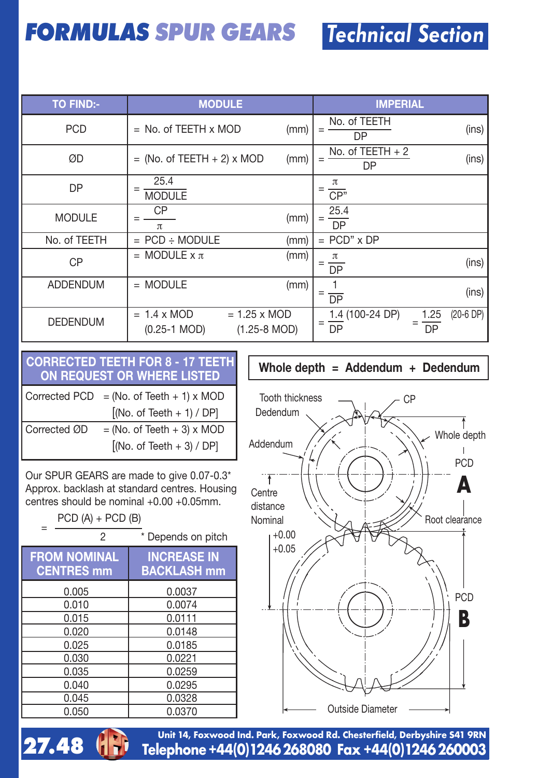## **FORMULAS SPUR GEARS** Technical Section

| <b>TO FIND:-</b> | <b>MODULE</b>                                                                           | <b>IMPERIAL</b>                                    |
|------------------|-----------------------------------------------------------------------------------------|----------------------------------------------------|
| <b>PCD</b>       | $=$ No. of TEETH $\times$ MOD<br>(mm)                                                   | No. of TEETH<br>(ins)<br>$=$<br>DP                 |
| ØD               | $=$ (No. of TEETH $+$ 2) x MOD<br>(mm)                                                  | No. of $TEETH + 2$<br>(ins)<br>$=$<br>DP           |
| DP               | 25.4<br>$=$<br><b>MODULE</b>                                                            | π<br>$\overline{CP}$                               |
| <b>MODULE</b>    | СP<br>(mm)<br>$\pi$                                                                     | 25.4<br>DP                                         |
| No. of TEETH     | $=$ PCD $\div$ MODULE<br>(mm)                                                           | $=$ PCD" $\times$ DP                               |
| CP               | $=$ MODULE $\times \pi$<br>(mm)                                                         | (ins)<br><b>DP</b>                                 |
| <b>ADDENDUM</b>  | $=$ MODULE<br>(mm)                                                                      | (ins)<br>$\overline{DP}$                           |
| <b>DEDENDUM</b>  | $= 1.25 \times MOD$<br>$= 1.4 \times MOD$<br>$(1.25 - 8 \text{ MOD})$<br>$(0.25-1 MOD)$ | (20-6 DP)<br>$1.4(100-24)$ DP)<br>1.25<br>DP<br>DP |

## **CORRECTED TEETH FOR 8 - 17 TEETH ON REQUEST OR WHERE LISTED Whole depth <sup>=</sup> Addendum <sup>+</sup> Dedendum**

|              | Corrected PCD = (No. of Teeth + 1) x MOD |
|--------------|------------------------------------------|
|              | $[$ (No. of Teeth + 1) / DP]             |
| Corrected ØD | $=$ (No. of Teeth + 3) x MOD             |
|              | $[$ (No. of Teeth + 3) / DP]             |

Our SPUR GEARS are made to give 0.07-0.3\* Approx. backlash at standard centres. Housing centres should be nominal +0.00 +0.05mm.

 $PCD (A) + PCD (B)$ 

| 2                                        | * Depends on pitch                       |
|------------------------------------------|------------------------------------------|
| <b>FROM NOMINAL</b><br><b>CENTRES mm</b> | <b>INCREASE IN</b><br><b>BACKLASH mm</b> |
| 0.005                                    | 0.0037                                   |
| 0.010                                    | 0.0074                                   |
| 0.015                                    | 0.0111                                   |
| 0.020                                    | 0.0148                                   |
| 0.025                                    | 0.0185                                   |
| 0.030                                    | 0.0221                                   |
| 0.035                                    | 0.0259                                   |
| 0.040                                    | 0.0295                                   |
| 0.045                                    | 0.0328                                   |
| 0.050                                    | 0.0370                                   |





**Telephone+44(0)1246268080 Fax +44(0)1246260003 Unit 14, Foxwood Ind. Park, Foxwood Rd. Chesterfield, Derbyshire S41 9RN**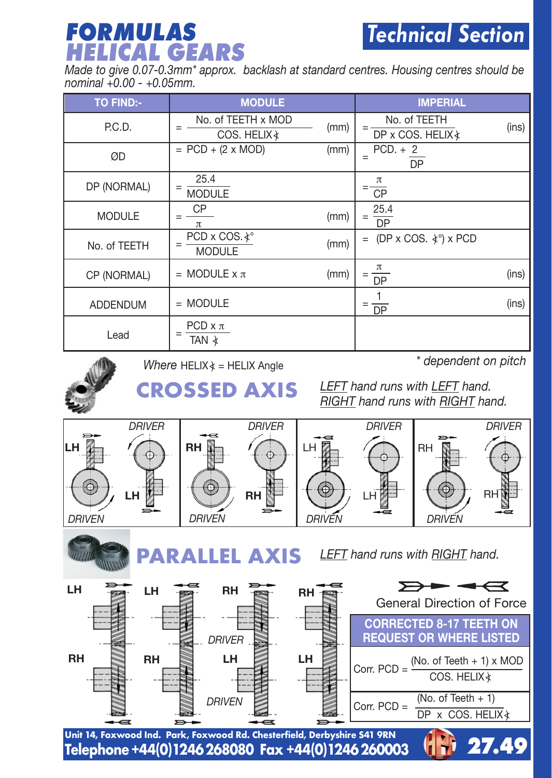## **FORMULAS** Technical Section **HELICAL GEARS**

Made to give 0.07-0.3mm\* approx. backlash at standard centres. Housing centres should be<br>nominal +0.00 - +0.05mm.

| <b>TO FIND:-</b> | <b>MODULE</b>                            |      | <b>IMPERIAL</b>                     |       |
|------------------|------------------------------------------|------|-------------------------------------|-------|
| P.C.D.           | No. of TEETH x MOD<br>COS. HELIX &       | (mm) | No. of TEETH<br>DP x COS, HELIX &   | (ins) |
| ØD               | $= PCD + (2 \times MOD)$                 | (mm) | $PCD. + 2$<br>$=$<br><b>DP</b>      |       |
| DP (NORMAL)      | 25.4<br>$=$<br><b>MODULE</b>             |      | π<br><b>CP</b>                      |       |
| <b>MODULE</b>    | CP<br>$\pi$                              | (mm) | 25.4<br>$=$<br>$\overline{DP}$      |       |
| No. of TEETH     | PCD x COS. *°<br><b>MODULE</b>           | (mm) | (DP x COS. $\angle$ °) x PCD<br>$=$ |       |
| CP (NORMAL)      | $=$ MODULE $\times \pi$                  | (mm) | π<br><b>DP</b>                      | (ins) |
| <b>ADDENDUM</b>  | $= MODULE$                               |      | <b>DP</b>                           | (ins) |
| Lead             | $PCD \times \pi$<br>$=$<br>TAN $\lambda$ |      |                                     |       |



*Where* HELIX  $\angle$  = HELIX Angle

*\* dependent on pitch*

*LEFT hand runs with LEFT hand. RIGHT hand runs with RIGHT hand.* **CROSSED AXIS**





**PARALLEL AXIS**

*LEFT hand runs with RIGHT hand.*

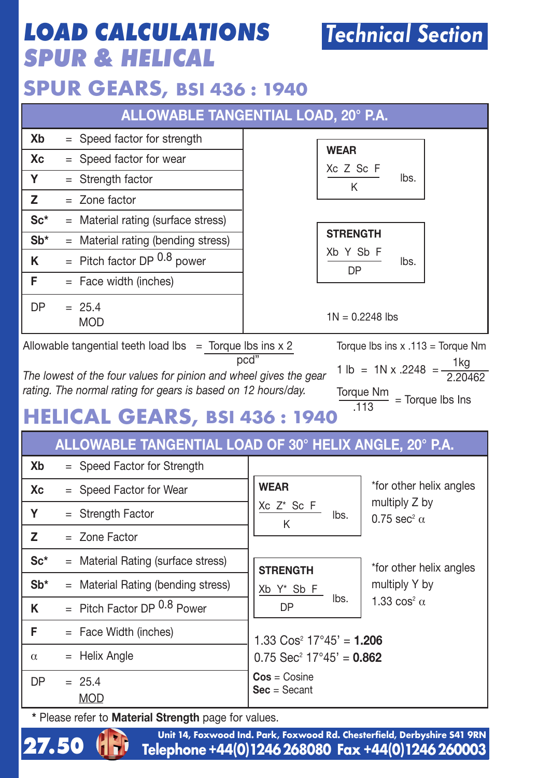## **LOAD CALCULATIONS SPUR & HELICAL**

### **SPUR GEARS, BSI 436 : 1940**

|           | ALLOWABLE TANGENTIAL LOAD, 20° P.A.                               |                                     |  |  |  |  |  |  |  |  |
|-----------|-------------------------------------------------------------------|-------------------------------------|--|--|--|--|--|--|--|--|
| Xb        | $=$ Speed factor for strength                                     | <b>WEAR</b>                         |  |  |  |  |  |  |  |  |
| Хc        | $=$ Speed factor for wear                                         | Xc Z Sc F                           |  |  |  |  |  |  |  |  |
| Y         | $=$ Strength factor                                               | lbs.<br>κ                           |  |  |  |  |  |  |  |  |
| z         | $=$ Zone factor                                                   |                                     |  |  |  |  |  |  |  |  |
| $Sc*$     | $=$ Material rating (surface stress)                              |                                     |  |  |  |  |  |  |  |  |
| $Sb*$     | $=$ Material rating (bending stress)                              | <b>STRENGTH</b>                     |  |  |  |  |  |  |  |  |
| κ         | $=$ Pitch factor DP 0.8 power                                     | Xb Y Sb F<br>lbs.<br><b>DP</b>      |  |  |  |  |  |  |  |  |
| F         | $=$ Face width (inches)                                           |                                     |  |  |  |  |  |  |  |  |
| <b>DP</b> | $= 25.4$<br><b>MOD</b>                                            | $1N = 0.2248$ lbs                   |  |  |  |  |  |  |  |  |
|           | Allowable tangential teeth load lbs $=$ Torque lbs ins $\times$ 2 | Torque Ibs ins $x .113 =$ Torque Nm |  |  |  |  |  |  |  |  |

pcd"

*The lowest of the four values for pinion and wheel gives the gear rating. The normal rating for gears is based on 12 hours/day.*

1 lb = 1N x .2248 =  $\frac{1 \text{ kg}}{2.20462}$  $\frac{T_{\text{orque Nm}}}{113}$  = Torque lbs Ins

## **HELICAL GEARS, BSI 436 : 1940**

#### **ALLOWABLE TANGENTIAL LOAD OF 30° HELIX ANGLE, 20° P.A.**

| Xb        | = Speed Factor for Strength          |                                        |                                          |  |  |  |  |
|-----------|--------------------------------------|----------------------------------------|------------------------------------------|--|--|--|--|
| Xc        | = Speed Factor for Wear              | <b>WEAR</b>                            | *for other helix angles<br>multiply Z by |  |  |  |  |
| Υ         | $=$ Strength Factor                  | Xc Z* Sc F<br>lbs.<br>K                | $0.75$ sec <sup>2</sup> $\alpha$         |  |  |  |  |
| z         | $=$ Zone Factor                      |                                        |                                          |  |  |  |  |
| $Sc*$     | $=$ Material Rating (surface stress) | <b>STRENGTH</b>                        | *for other helix angles                  |  |  |  |  |
| $Sb*$     | $=$ Material Rating (bending stress) | Xb Y* Sb F                             | multiply Y by                            |  |  |  |  |
| Κ         | $=$ Pitch Factor DP $0.8$ Power      | lbs.<br><b>DP</b>                      | 1.33 $\cos^2 \alpha$                     |  |  |  |  |
| F         | $=$ Face Width (inches)              | $1.33 \text{ Cos}^2$ 17°45' = 1.206    |                                          |  |  |  |  |
| $\alpha$  | $=$ Helix Angle                      | $0.75$ Sec <sup>2</sup> 17°45' = 0.862 |                                          |  |  |  |  |
| <b>DP</b> | $= 25.4$<br><b>MOD</b>               | $Cos = Cosine$<br>$Sec = Secant$       |                                          |  |  |  |  |

**\*** Please refer to **Material Strength** page for values.



**27.50** 1. Telephone +44(0)1246 268080 Fax +44(0)1246 260003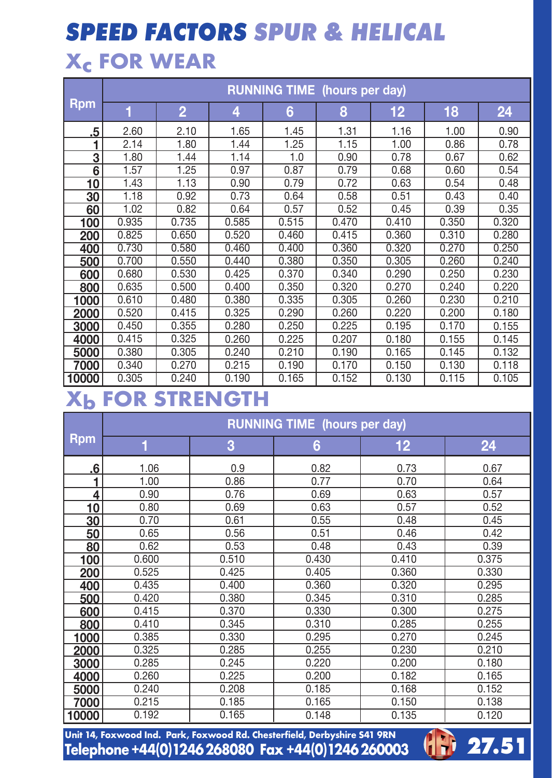# **SPEED FACTORS SPUR & HELICAL**

## **Xc FOR WEAR**

|            |       | <b>RUNNING TIME</b> (hours per day) |       |       |       |       |       |       |  |  |  |  |  |  |  |
|------------|-------|-------------------------------------|-------|-------|-------|-------|-------|-------|--|--|--|--|--|--|--|
| <b>Rpm</b> | 1     | $\overline{2}$                      | 4     | 6     | 8     | 12    | 18    | 24    |  |  |  |  |  |  |  |
| .5         | 2.60  | 2.10                                | 1.65  | 1.45  | 1.31  | 1.16  | 1.00  | 0.90  |  |  |  |  |  |  |  |
| 1          | 2.14  | 1.80                                | 1.44  | 1.25  | 1.15  | 1.00  | 0.86  | 0.78  |  |  |  |  |  |  |  |
| 3          | 1.80  | 1.44                                | 1.14  | 1.0   | 0.90  | 0.78  | 0.67  | 0.62  |  |  |  |  |  |  |  |
| 6          | 1.57  | 1.25                                | 0.97  | 0.87  | 0.79  | 0.68  | 0.60  | 0.54  |  |  |  |  |  |  |  |
| 10         | 1.43  | 1.13                                | 0.90  | 0.79  | 0.72  | 0.63  | 0.54  | 0.48  |  |  |  |  |  |  |  |
| 30         | 1.18  | 0.92                                | 0.73  | 0.64  | 0.58  | 0.51  | 0.43  | 0.40  |  |  |  |  |  |  |  |
| 60         | 1.02  | 0.82                                | 0.64  | 0.57  | 0.52  | 0.45  | 0.39  | 0.35  |  |  |  |  |  |  |  |
| 100        | 0.935 | 0.735                               | 0.585 | 0.515 | 0.470 | 0.410 | 0.350 | 0.320 |  |  |  |  |  |  |  |
| 200        | 0.825 | 0.650                               | 0.520 | 0.460 | 0.415 | 0.360 | 0.310 | 0.280 |  |  |  |  |  |  |  |
| 400        | 0.730 | 0.580                               | 0.460 | 0.400 | 0.360 | 0.320 | 0.270 | 0.250 |  |  |  |  |  |  |  |
| 500        | 0.700 | 0.550                               | 0.440 | 0.380 | 0.350 | 0.305 | 0.260 | 0.240 |  |  |  |  |  |  |  |
| 600        | 0.680 | 0.530                               | 0.425 | 0.370 | 0.340 | 0.290 | 0.250 | 0.230 |  |  |  |  |  |  |  |
| 800        | 0.635 | 0.500                               | 0.400 | 0.350 | 0.320 | 0.270 | 0.240 | 0.220 |  |  |  |  |  |  |  |
| 1000       | 0.610 | 0.480                               | 0.380 | 0.335 | 0.305 | 0.260 | 0.230 | 0.210 |  |  |  |  |  |  |  |
| 2000       | 0.520 | 0.415                               | 0.325 | 0.290 | 0.260 | 0.220 | 0.200 | 0.180 |  |  |  |  |  |  |  |
| 3000       | 0.450 | 0.355                               | 0.280 | 0.250 | 0.225 | 0.195 | 0.170 | 0.155 |  |  |  |  |  |  |  |
| 4000       | 0.415 | 0.325                               | 0.260 | 0.225 | 0.207 | 0.180 | 0.155 | 0.145 |  |  |  |  |  |  |  |
| 5000       | 0.380 | 0.305                               | 0.240 | 0.210 | 0.190 | 0.165 | 0.145 | 0.132 |  |  |  |  |  |  |  |
| 7000       | 0.340 | 0.270                               | 0.215 | 0.190 | 0.170 | 0.150 | 0.130 | 0.118 |  |  |  |  |  |  |  |
| 10000      | 0.305 | 0.240                               | 0.190 | 0.165 | 0.152 | 0.130 | 0.115 | 0.105 |  |  |  |  |  |  |  |

### **Xb FOR STRENGTH**

|            | <b>RUNNING TIME</b> (hours per day) |       |       |                   |       |  |  |  |  |  |  |  |  |
|------------|-------------------------------------|-------|-------|-------------------|-------|--|--|--|--|--|--|--|--|
| <b>Rpm</b> | 1                                   | 3     | 6     | $12 \overline{ }$ | 24    |  |  |  |  |  |  |  |  |
| .6         | 1.06                                | 0.9   | 0.82  | 0.73              | 0.67  |  |  |  |  |  |  |  |  |
| 1          | 1.00                                | 0.86  | 0.77  | 0.70              | 0.64  |  |  |  |  |  |  |  |  |
| 4          | 0.90                                | 0.76  | 0.69  | 0.63              | 0.57  |  |  |  |  |  |  |  |  |
| 10         | 0.80                                | 0.69  | 0.63  | 0.57              | 0.52  |  |  |  |  |  |  |  |  |
| 30         | 0.70                                | 0.61  | 0.55  | 0.48              | 0.45  |  |  |  |  |  |  |  |  |
| 50         | 0.65                                | 0.56  | 0.51  | 0.46              | 0.42  |  |  |  |  |  |  |  |  |
| 80         | 0.62                                | 0.53  | 0.48  | 0.43              | 0.39  |  |  |  |  |  |  |  |  |
| 100        | 0.600                               | 0.510 | 0.430 | 0.410             | 0.375 |  |  |  |  |  |  |  |  |
| 200        | 0.525                               | 0.425 | 0.405 | 0.360             | 0.330 |  |  |  |  |  |  |  |  |
| 400        | 0.435                               | 0.400 | 0.360 | 0.320             | 0.295 |  |  |  |  |  |  |  |  |
| 500        | 0.420                               | 0.380 | 0.345 | 0.310             | 0.285 |  |  |  |  |  |  |  |  |
| 600        | 0.415                               | 0.370 | 0.330 | 0.300             | 0.275 |  |  |  |  |  |  |  |  |
| 800        | 0.410                               | 0.345 | 0.310 | 0.285             | 0.255 |  |  |  |  |  |  |  |  |
| 1000       | 0.385                               | 0.330 | 0.295 | 0.270             | 0.245 |  |  |  |  |  |  |  |  |
| 2000       | 0.325                               | 0.285 | 0.255 | 0.230             | 0.210 |  |  |  |  |  |  |  |  |
| 3000       | 0.285                               | 0.245 | 0.220 | 0.200             | 0.180 |  |  |  |  |  |  |  |  |
| 4000       | 0.260                               | 0.225 | 0.200 | 0.182             | 0.165 |  |  |  |  |  |  |  |  |
| 5000       | 0.240                               | 0.208 | 0.185 | 0.168             | 0.152 |  |  |  |  |  |  |  |  |
| 7000       | 0.215                               | 0.185 | 0.165 | 0.150             | 0.138 |  |  |  |  |  |  |  |  |
| 10000      | 0.192                               | 0.165 | 0.148 | 0.135             | 0.120 |  |  |  |  |  |  |  |  |

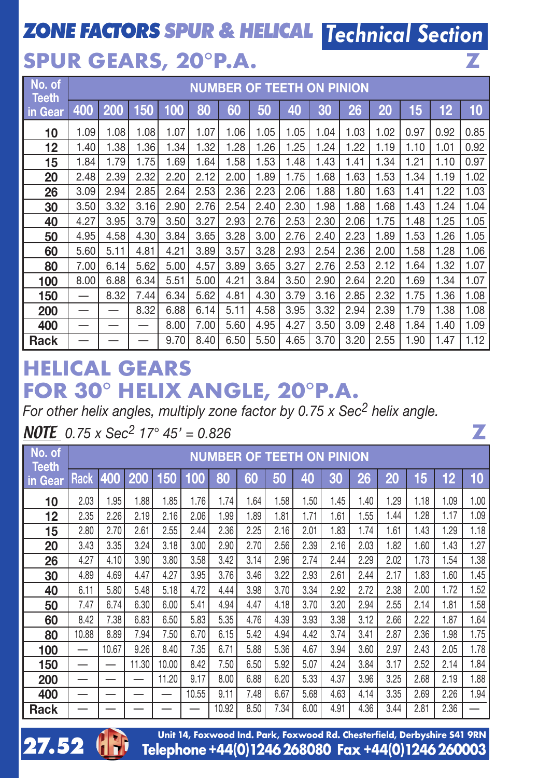## **ZONE FACTORS SPUR & HELICAL** Technical Section

**Z**

## **SPUR GEARS, 20°P.A.**

| No. of<br><b>Teeth</b> |                          | <b>NUMBER OF TEETH ON PINION</b> |      |      |      |      |      |      |      |      |      |      |      |      |
|------------------------|--------------------------|----------------------------------|------|------|------|------|------|------|------|------|------|------|------|------|
| in Gear                | 400                      | 200                              | 150  | 100  | 80   | 60   | 50   | 40   | 30   | 26   | 20   | 15   | 12   | 10   |
| 10                     | 1.09                     | 1.08                             | 1.08 | 1.07 | 1.07 | 1.06 | 1.05 | 1.05 | 1.04 | 1.03 | 1.02 | 0.97 | 0.92 | 0.85 |
| 12                     | 1.40                     | 1.38                             | 1.36 | 1.34 | 1.32 | 1.28 | 1.26 | 1.25 | 1.24 | 1.22 | 1.19 | 1.10 | 1.01 | 0.92 |
| 15                     | 1.84                     | 1.79                             | 1.75 | 1.69 | 1.64 | 1.58 | 1.53 | 1.48 | 1.43 | 1.41 | 1.34 | 1.21 | 1.10 | 0.97 |
| 20                     | 2.48                     | 2.39                             | 2.32 | 2.20 | 2.12 | 2.00 | 1.89 | 1.75 | 1.68 | 1.63 | 1.53 | 1.34 | 1.19 | 1.02 |
| 26                     | 3.09                     | 2.94                             | 2.85 | 2.64 | 2.53 | 2.36 | 2.23 | 2.06 | 1.88 | 1.80 | 1.63 | 1.41 | 1.22 | 1.03 |
| 30                     | 3.50                     | 3.32                             | 3.16 | 2.90 | 2.76 | 2.54 | 2.40 | 2.30 | 1.98 | 1.88 | 1.68 | 1.43 | 1.24 | 1.04 |
| 40                     | 4.27                     | 3.95                             | 3.79 | 3.50 | 3.27 | 2.93 | 2.76 | 2.53 | 2.30 | 2.06 | 1.75 | 1.48 | 1.25 | 1.05 |
| 50                     | 4.95                     | 4.58                             | 4.30 | 3.84 | 3.65 | 3.28 | 3.00 | 2.76 | 2.40 | 2.23 | 1.89 | 1.53 | 1.26 | 1.05 |
| 60                     | 5.60                     | 5.11                             | 4.81 | 4.21 | 3.89 | 3.57 | 3.28 | 2.93 | 2.54 | 2.36 | 2.00 | 1.58 | 1.28 | 1.06 |
| 80                     | 7.00                     | 6.14                             | 5.62 | 5.00 | 4.57 | 3.89 | 3.65 | 3.27 | 2.76 | 2.53 | 2.12 | 1.64 | 1.32 | 1.07 |
| 100                    | 8.00                     | 6.88                             | 6.34 | 5.51 | 5.00 | 4.21 | 3.84 | 3.50 | 2.90 | 2.64 | 2.20 | 1.69 | 1.34 | 1.07 |
| 150                    | $\overline{\phantom{m}}$ | 8.32                             | 7.44 | 6.34 | 5.62 | 4.81 | 4.30 | 3.79 | 3.16 | 2.85 | 2.32 | 1.75 | 1.36 | 1.08 |
| 200                    | —                        |                                  | 8.32 | 6.88 | 6.14 | 5.11 | 4.58 | 3.95 | 3.32 | 2.94 | 2.39 | 1.79 | 1.38 | 1.08 |
| 400                    | —                        |                                  | —    | 8.00 | 7.00 | 5.60 | 4.95 | 4.27 | 3.50 | 3.09 | 2.48 | 1.84 | 1.40 | 1.09 |
| Rack                   |                          |                                  |      | 9.70 | 8.40 | 6.50 | 5.50 | 4.65 | 3.70 | 3.20 | 2.55 | 1.90 | 1.47 | 1.12 |

#### **HELICAL GEARS FOR 30° HELIX ANGLE, 20°P.A.**

*For other helix angles, multiply zone factor by 0.75 x Sec2 helix angle.*

#### NOTE *0.75 x Sec2 17° 45' = 0.826*

**27.52**

| No. of<br><b>Teeth</b> |             | <b>NUMBER OF TEETH ON PINION</b> |       |       |       |       |      |      |      |      |      |      |      |      |      |
|------------------------|-------------|----------------------------------|-------|-------|-------|-------|------|------|------|------|------|------|------|------|------|
| in Gear                | <b>Rack</b> | 400                              | 200   | 150   | 100   | 80    | 60   | 50   | 40   | 30   | 26   | 20   | 15   | 12   | 10   |
| 10                     | 2.03        | 1.95                             | 1.88  | 1.85  | 1.76  | 1.74  | 1.64 | 1.58 | 1.50 | 1.45 | 1.40 | 1.29 | 1.18 | 1.09 | 1.00 |
| 12                     | 2.35        | 2.26                             | 2.19  | 2.16  | 2.06  | 1.99  | 1.89 | 1.81 | 1.71 | 1.61 | 1.55 | 1.44 | 1.28 | 1.17 | 1.09 |
| 15                     | 2.80        | 2.70                             | 2.61  | 2.55  | 2.44  | 2.36  | 2.25 | 2.16 | 2.01 | 1.83 | 1.74 | 1.61 | 1.43 | 1.29 | 1.18 |
| 20                     | 3.43        | 3.35                             | 3.24  | 3.18  | 3.00  | 2.90  | 2.70 | 2.56 | 2.39 | 2.16 | 2.03 | 1.82 | 1.60 | 1.43 | 1.27 |
| 26                     | 4.27        | 4.10                             | 3.90  | 3.80  | 3.58  | 3.42  | 3.14 | 2.96 | 2.74 | 2.44 | 2.29 | 2.02 | 1.73 | 1.54 | 1.38 |
| 30                     | 4.89        | 4.69                             | 4.47  | 4.27  | 3.95  | 3.76  | 3.46 | 3.22 | 2.93 | 2.61 | 2.44 | 2.17 | 1.83 | 1.60 | 1.45 |
| 40                     | 6.11        | 5.80                             | 5.48  | 5.18  | 4.72  | 4.44  | 3.98 | 3.70 | 3.34 | 2.92 | 2.72 | 2.38 | 2.00 | 1.72 | 1.52 |
| 50                     | 7.47        | 6.74                             | 6.30  | 6.00  | 5.41  | 4.94  | 4.47 | 4.18 | 3.70 | 3.20 | 2.94 | 2.55 | 2.14 | 1.81 | 1.58 |
| 60                     | 8.42        | 7.38                             | 6.83  | 6.50  | 5.83  | 5.35  | 4.76 | 4.39 | 3.93 | 3.38 | 3.12 | 2.66 | 2.22 | 1.87 | 1.64 |
| 80                     | 10.88       | 8.89                             | 7.94  | 7.50  | 6.70  | 6.15  | 5.42 | 4.94 | 4.42 | 3.74 | 3.41 | 2.87 | 2.36 | 1.98 | 1.75 |
| 100                    | –           | 10.67                            | 9.26  | 8.40  | 7.35  | 6.71  | 5.88 | 5.36 | 4.67 | 3.94 | 3.60 | 2.97 | 2.43 | 2.05 | 1.78 |
| 150                    |             |                                  | 11.30 | 10.00 | 8.42  | 7.50  | 6.50 | 5.92 | 5.07 | 4.24 | 3.84 | 3.17 | 2.52 | 2.14 | 1.84 |
| 200                    |             |                                  |       | 11.20 | 9.17  | 8.00  | 6.88 | 6.20 | 5.33 | 4.37 | 3.96 | 3.25 | 2.68 | 2.19 | 1.88 |
| 400                    |             |                                  |       |       | 10.55 | 9.11  | 7.48 | 6.67 | 5.68 | 4.63 | 4.14 | 3.35 | 2.69 | 2.26 | 1.94 |
| Rack                   |             |                                  |       |       |       | 10.92 | 8.50 | 7.34 | 6.00 | 4.91 | 4.36 | 3.44 | 2.81 | 2.36 |      |

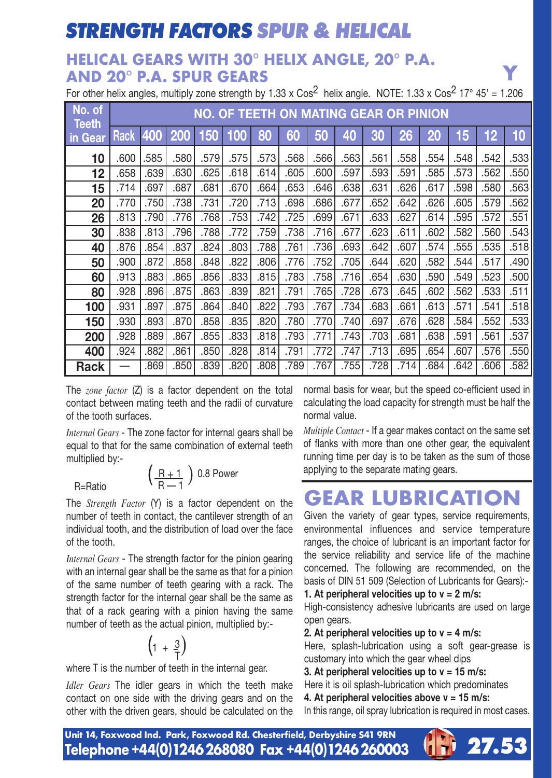### **STRENGTH FACTORS SPUR & HELICAL**

#### **HELICAL GEARS WITH 30° HELIX ANGLE, 20° P.A. AND 20° P.A. SPUR GEARS** For other helix angles, multiply zone strength by 1.33 x Cos<sup>2</sup> helix angle. NOTE: 1.33 x Cos<sup>2</sup> 17° 45' = 1.206<br>**For other helix angles, multiply zone strength by 1.33 x Cos<sup>2</sup> helix angle. NOTE: 1.33 x Cos<sup>2</sup> 17° 45' = 1**

| No. of<br><b>Teeth</b> |      | NO. OF TEETH ON MATING GEAR OR PINION |            |      |      |      |      |      |      |      |      |      |      |      |      |
|------------------------|------|---------------------------------------|------------|------|------|------|------|------|------|------|------|------|------|------|------|
| in Gear                | Rack | 400                                   | <b>200</b> | 150  | 100  | 80   | 60   | 50   | 40   | 30   | 26   | 20   | 15   | 12   | 10   |
| 10                     | .600 | .585                                  | .580       | .579 | .575 | .573 | .568 | .566 | .563 | .561 | .558 | .554 | .548 | .542 | .533 |
| 12                     | .658 | .639                                  | .630       | .625 | .618 | .614 | .605 | .600 | .597 | .593 | .591 | .585 | .573 | .562 | .550 |
| 15                     | .714 | .697                                  | .687       | .681 | .670 | .664 | .653 | .646 | .638 | .631 | .626 | .617 | .598 | .580 | 563  |
| 20                     | .770 | .750                                  | .738       | .731 | .720 | .713 | .698 | .686 | .677 | .652 | .642 | .626 | .605 | .579 | .562 |
| 26                     | .813 | .790                                  | .776       | .768 | .753 | .742 | .725 | .699 | .671 | .633 | .627 | .614 | .595 | .572 | .551 |
| 30                     | .838 | .813                                  | .796       | .788 | .772 | .759 | .738 | .716 | .677 | .623 | .611 | .602 | .582 | .560 | .543 |
| 40                     | .876 | .854                                  | .837       | .824 | .803 | .788 | .761 | .736 | .693 | .642 | .607 | .574 | .555 | .535 | .518 |
| 50                     | .900 | .872                                  | .858       | .848 | .822 | .806 | .776 | .752 | .705 | .644 | .620 | .582 | 544  | .517 | .490 |
| 60                     | .913 | .883                                  | .865       | .856 | .833 | .815 | .783 | .758 | .716 | .654 | .630 | .590 | .549 | .523 | .500 |
| 80                     | .928 | .896                                  | .875       | .863 | .839 | .821 | .791 | .765 | .728 | .673 | .645 | .602 | .562 | .533 | .511 |
| 100                    | .931 | .897                                  | .875       | .864 | .840 | .822 | .793 | .767 | .734 | .683 | .661 | .613 | .571 | .541 | .518 |
| 150                    | .930 | .893                                  | .870       | .858 | .835 | .820 | .780 | .770 | .740 | .697 | .676 | .628 | .584 | .552 | .533 |
| 200                    | .928 | .889                                  | .867       | .855 | .833 | .818 | .793 | .771 | .743 | .703 | .681 | .638 | .591 | .561 | .537 |
| 400                    | .924 | .882                                  | .861       | .850 | .828 | .814 | .791 | .772 | .747 | .713 | .695 | .654 | .607 | .576 | .550 |
| Rack                   |      | .869                                  | .850       | .839 | .820 | .808 | .789 | .767 | .755 | .728 | .714 | .684 | .642 | .606 | .582 |

The *zone factor* (Z) is a factor dependent on the total contact between mating teeth and the radii of curvature of the tooth surfaces.

*Internal Gears* - The zone factor for internal gears shall be equal to that for the same combination of external teeth multiplied by:-

$$
\left(\frac{R+1}{R-1}\right) 0.8 \text{ Power}
$$

The *Strength Factor* (Y) is a factor dependent on the number of teeth in contact, the cantilever strength of an individual tooth, and the distribution of load over the face of the tooth.

*Internal Gears* - The strength factor for the pinion gearing with an internal gear shall be the same as that for a pinion of the same number of teeth gearing with a rack. The strength factor for the internal gear shall be the same as that of a rack gearing with a pinion having the same number of teeth as the actual pinion, multiplied by:-

$$
\left(1 + \frac{3}{T}\right)
$$

where T is the number of teeth in the internal gear.

*Idler Gears* The idler gears in which the teeth make contact on one side with the driving gears and on the other with the driven gears, should be calculated on the normal basis for wear, but the speed co-efficient used in calculating the load capacity for strength must be half the normal value.

*Multiple Contact* - If a gear makes contact on the same set of flanks with more than one other gear, the equivalent running time per day is to be taken as the sum of those applying to the separate mating gears.

### **GEAR LUBRICATION**

Given the variety of gear types, service requirements, environmental influences and service temperature ranges, the choice of lubricant is an important factor for the service reliability and service life of the machine concerned. The following are recommended, on the basis of DIN 51 509 (Selection of Lubricants for Gears):-

**1. At peripheral velocities up to v = 2 m/s:**

High-consistency adhesive lubricants are used on large open gears.

**2. At peripheral velocities up to v = 4 m/s:**

Here, splash-lubrication using a soft gear-grease is customary into which the gear wheel dips

**3. At peripheral velocities up to v = 15 m/s:**

Here it is oil splash-lubrication which predominates **4. At peripheral velocities above v = 15 m/s:** In this range, oil spray lubrication is required in most cases.

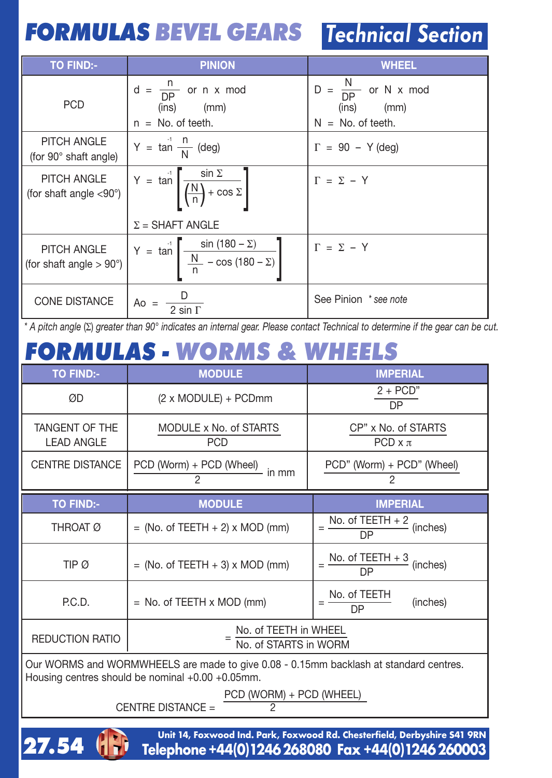## **FORMULAS BEVEL GEARS** Technical Section

| <b>TO FIND:-</b>                               | <b>PINION</b>                                                                               | <b>WHEEL</b>                                                                  |
|------------------------------------------------|---------------------------------------------------------------------------------------------|-------------------------------------------------------------------------------|
| <b>PCD</b>                                     | $\frac{n}{DP}$ or n x mod<br>$d =$<br>(mm)<br>(ins)<br>$n = No.$ of teeth.                  | $\frac{N}{DP}$<br>or N x mod<br>$D =$<br>(ins)<br>(mm)<br>$N = No.$ of teeth. |
| PITCH ANGLE<br>(for 90° shaft angle)           | $Y = \tan^{-1} \frac{n}{N}$ (deg)                                                           | $\Gamma = 90 - Y$ (deg)                                                       |
| PITCH ANGLE<br>(for shaft angle $< 90^\circ$ ) | $Y = \tan \left[ \frac{\sin \Sigma}{\left( \frac{N}{n} \right) + \cos \Sigma} \right]$      | $\Gamma = \Sigma - Y$                                                         |
|                                                | $\Sigma$ = SHAFT ANGLE                                                                      |                                                                               |
| PITCH ANGLE<br>(for shaft angle $> 90^\circ$ ) | $\frac{\sin(180 - \overline{\Sigma})}{\frac{N}{n} - \cos(180 - \Sigma)}$<br>$Y = \tan \int$ | $\Gamma = \Sigma - Y$                                                         |
| <b>CONE DISTANCE</b>                           | $A_0 =$<br>$2 \sin \Gamma$                                                                  | See Pinion * see note                                                         |

\* A pitch angle ( $\Sigma$ ) greater than 90° indicates an internal gear. Please contact Technical to determine if the gear can be cut.

## **FORMULAS - WORMS & WHEELS**

| TO FIND:-                           | <b>MODULE</b>                                                                         | <b>IMPERIAL</b>                         |  |  |  |  |  |
|-------------------------------------|---------------------------------------------------------------------------------------|-----------------------------------------|--|--|--|--|--|
| ØD                                  | (2 x MODULE) + PCDmm                                                                  | $2 + PCD"$<br>DP                        |  |  |  |  |  |
| TANGENT OF THE<br><b>LEAD ANGLE</b> | MODULE x No. of STARTS<br><b>PCD</b>                                                  | CP" x No. of STARTS<br>PCD $\times \pi$ |  |  |  |  |  |
| <b>CENTRE DISTANCE</b>              | PCD (Worm) + PCD (Wheel)<br>in mm<br>2                                                | PCD" (Worm) + PCD" (Wheel)<br>2         |  |  |  |  |  |
| <b>TO FIND:-</b>                    | <b>MODULE</b>                                                                         | <b>IMPERIAL</b>                         |  |  |  |  |  |
| THROAT Ø                            | $=$ (No. of TEETH $+$ 2) x MOD (mm)                                                   | No. of $TEETH + 2$<br>(inches)<br>DP    |  |  |  |  |  |
| TIP Ø                               | $=$ (No. of TEETH $+$ 3) x MOD (mm)                                                   | No. of TEETH + 3<br>(inches)<br>DP      |  |  |  |  |  |
| P.C.D.                              | $=$ No. of TEETH $\times$ MOD (mm)                                                    | No. of TEETH<br>(inches)<br>-<br>DP     |  |  |  |  |  |
| <b>REDUCTION RATIO</b>              | No. of TEETH in WHEEL<br>No. of STARTS in WORM                                        |                                         |  |  |  |  |  |
|                                     | Our WORMS and WORMWHEELS are made to give 0.08 - 0.15mm backlash at standard centres. |                                         |  |  |  |  |  |

Housing centres should be nominal +0.00 +0.05mm.

**27.54**

 $\frac{\text{PCD (WORM)} + \text{PCD (WHEEL)}}{2}$ 

CENTRE DISTANCE  $=$ 

**Telephone+44(0)1246268080 Fax +44(0)1246260003 Unit 14, Foxwood Ind. Park, Foxwood Rd. Chesterfield, Derbyshire S41 9RN**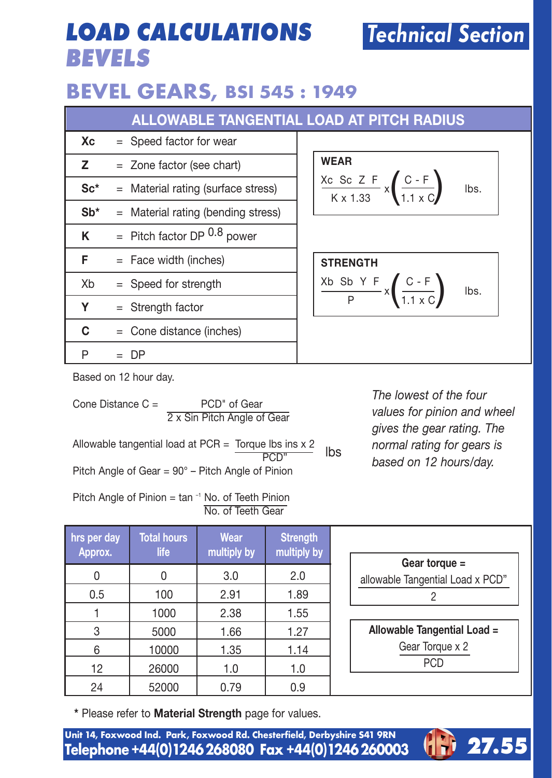## **LOAD CALCULATIONS BEVELS**

### **BEVEL GEARS, BSI 545 : 1949**

|        |                                      | <b>ALLOWABLE TANGENTIAL LOAD AT PITCH RADIUS</b>                                                                      |
|--------|--------------------------------------|-----------------------------------------------------------------------------------------------------------------------|
| Хc     | $=$ Speed factor for wear            |                                                                                                                       |
| z      | $=$ Zone factor (see chart)          | <b>WEAR</b>                                                                                                           |
| $Sc*$  | $=$ Material rating (surface stress) | $\frac{Xc \text{ Sc } Z F}{K \times 1.33} \times \left(\frac{C - F}{1.1 \times C}\right)$<br>lbs.                     |
| $Sb^*$ | $=$ Material rating (bending stress) |                                                                                                                       |
| ĸ      | $=$ Pitch factor DP $0.8$ power      |                                                                                                                       |
| F      | $=$ Face width (inches)              | <b>STRENGTH</b>                                                                                                       |
| Xb     | $=$ Speed for strength               | $rac{\text{Xb } \text{Sb} \text{Y F}}{\text{P}} \times \left( \frac{\text{C-F}}{1.1 \times \text{C}} \right)$<br>lbs. |
| Υ      | $=$ Strength factor                  |                                                                                                                       |
| c      | $=$ Cone distance (inches)           |                                                                                                                       |
| P      | DP                                   |                                                                                                                       |

Based on 12 hour day.

| Cone Distance $C =$<br>PCD" of Gear<br>2 x Sin Pitch Angle of Gear           |     | The lowest of the four<br>values for pinion and wheel<br>gives the gear rating. The |
|------------------------------------------------------------------------------|-----|-------------------------------------------------------------------------------------|
| Allowable tangential load at PCR = Torque lbs ins $x$ 2                      | lbs | normal rating for gears is                                                          |
| Pitch Angle of Gear = 90° - Pitch Angle of Pinion                            |     | based on 12 hours/day.                                                              |
| Pitch Angle of Pinion = $\tan^{-1}$ No. of Teeth Pinion<br>No. of Teeth Gear |     |                                                                                     |

| hrs per day<br>Approx. | <b>Total hours</b><br>life | Wear<br>multiply by | <b>Strength</b><br>multiply by |
|------------------------|----------------------------|---------------------|--------------------------------|
|                        |                            | 3.0                 | 2.0                            |
| 0.5                    | 100                        | 2.91                | 1.89                           |
|                        | 1000                       | 2.38                | 1.55                           |
| 3                      | 5000                       | 1.66                | 1.27                           |
| 6                      | 10000                      | 1.35                | 1.14                           |
| 12                     | 26000                      | 1.0                 | 1.0                            |
| 24                     | 52000                      | 0.79                | 0.9                            |

| Gear torque $=$                  |
|----------------------------------|
| allowable Tangential Load x PCD" |
|                                  |
|                                  |
| Allowable Tangential Load =      |
| Gear Torque x 2                  |

Technical Section

 $\overline{PCD}$ 

**\*** Please refer to **Material Strength** page for values.

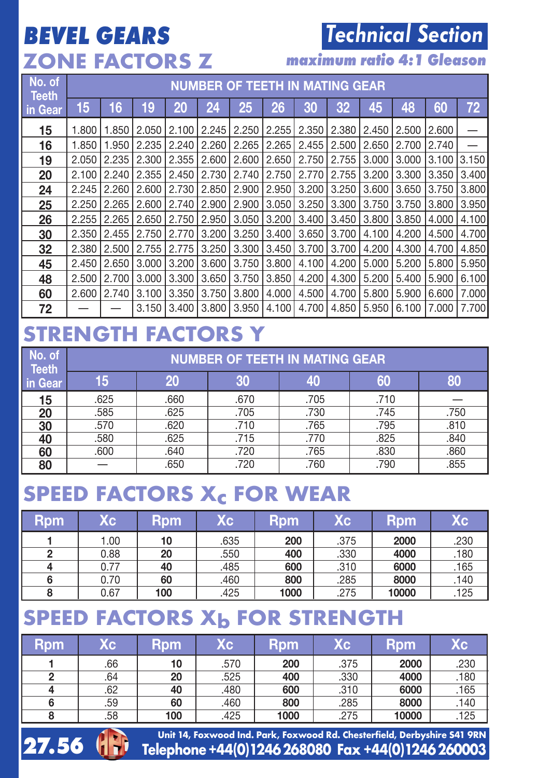## **BEVEL GEARS ZONE FACTORS Z**

## Technical Section

**maximum ratio 4:1 Gleason**

| No. of<br><b>Teeth</b> |       | <b>NUMBER OF TEETH IN MATING GEAR</b> |       |       |       |       |       |       |       |       |       |       |       |
|------------------------|-------|---------------------------------------|-------|-------|-------|-------|-------|-------|-------|-------|-------|-------|-------|
| in Gear                | 15    | 16                                    | 19    | 20    | 24    | 25    | 26    | 30    | 32    | 45    | 48    | 60    | 72    |
| 15                     | 1.800 | 1.850                                 | 2.050 | 2.100 | 2.245 | 2.250 | 2.255 | 2.350 | 2.380 | 2.450 | 2.500 | 2.600 |       |
| 16                     | 1.850 | 1.950                                 | 2.235 | 2.240 | 2.260 | 2.265 | 2.265 | 2.455 | 2.500 | 2.650 | 2.700 | 2.740 |       |
| 19                     | 2.050 | 2.235                                 | 2.300 | 2.355 | 2.600 | 2.600 | 2.650 | 2.750 | 2.755 | 3.000 | 3.000 | 3.100 | 3.150 |
| 20                     | 2.100 | 2.240                                 | 2.355 | 2.450 | 2.730 | 2.740 | 2.750 | 2.770 | 2.755 | 3.200 | 3.300 | 3.350 | 3.400 |
| 24                     | 2.245 | 2.260                                 | 2.600 | 2.730 | 2.850 | 2.900 | 2.950 | 3.200 | 3.250 | 3.600 | 3.650 | 3.750 | 3.800 |
| 25                     | 2.250 | 2.265                                 | 2.600 | 2.740 | 2.900 | 2.900 | 3.050 | 3.250 | 3.300 | 3.750 | 3.750 | 3.800 | 3.950 |
| 26                     | 2.255 | 2.265                                 | 2.650 | 2.750 | 2.950 | 3.050 | 3.200 | 3.400 | 3.450 | 3.800 | 3.850 | 4.000 | 4.100 |
| 30                     | 2.350 | 2.455                                 | 2.750 | 2.770 | 3.200 | 3.250 | 3.400 | 3.650 | 3.700 | 4.100 | 4.200 | 4.500 | 4.700 |
| 32                     | 2.380 | 2.500                                 | 2.755 | 2.775 | 3.250 | 3.300 | 3.450 | 3.700 | 3.700 | 4.200 | 4.300 | 4.700 | 4.850 |
| 45                     | 2.450 | 2.650                                 | 3.000 | 3.200 | 3.600 | 3.750 | 3.800 | 4.100 | 4.200 | 5.000 | 5.200 | 5.800 | 5.950 |
| 48                     | 2.500 | 2.700                                 | 3.000 | 3.300 | 3.650 | 3.750 | 3.850 | 4.200 | 4.300 | 5.200 | 5.400 | 5.900 | 6.100 |
| 60                     | 2.600 | 2.740                                 | 3.100 | 3.350 | 3.750 | 3.800 | 4.000 | 4.500 | 4.700 | 5.800 | 5.900 | 6.600 | 7.000 |
| 72                     |       |                                       | 3.150 | 3.400 | 3.800 | 3.950 | 4.100 | 4.700 | 4.850 | 5.950 | 6.100 | 7.000 | 7.700 |

#### **STRENGTH FACTORS Y**

| No. of<br><b>Teeth</b> |      | <b>NUMBER OF TEETH IN MATING GEAR</b> |      |      |      |      |  |  |  |  |  |
|------------------------|------|---------------------------------------|------|------|------|------|--|--|--|--|--|
| in Gear                | 15   | 20                                    | 30   | 40   | 60   | 80   |  |  |  |  |  |
| 15                     | .625 | .660                                  | .670 | .705 | .710 |      |  |  |  |  |  |
| 20                     | .585 | .625                                  | .705 | .730 | .745 | .750 |  |  |  |  |  |
| 30                     | .570 | .620                                  | .710 | .765 | .795 | .810 |  |  |  |  |  |
| 40                     | .580 | .625                                  | .715 | .770 | .825 | .840 |  |  |  |  |  |
| 60                     | .600 | .640                                  | .720 | .765 | .830 | .860 |  |  |  |  |  |
| 80                     |      | .650                                  | .720 | .760 | .790 | .855 |  |  |  |  |  |

### **SPEED FACTORS Xc FOR WEAR**

| Rpm | Kс.  | Rpm | Xс   | <b>Rpm</b> | Xс.  | <b>Rpm</b> | Xс   |
|-----|------|-----|------|------------|------|------------|------|
|     | 1.00 | 10  | .635 | 200        | .375 | 2000       | .230 |
| 2   | 0.88 | 20  | .550 | 400        | .330 | 4000       | .180 |
|     | 0.77 | 40  | .485 | 600        | .310 | 6000       | .165 |
| 6   | 0.70 | 60  | .460 | 800        | .285 | 8000       | .140 |
| 8   | 0.67 | 100 | .425 | 1000       | .275 | 10000      | .125 |

## **SPEED FACTORS Xb FOR STRENGTH**

| Rpm | Кc  | Rpm | Xс   | <b>Rpm</b> | Хc   | Rpm   | Хc   |
|-----|-----|-----|------|------------|------|-------|------|
|     | .66 | 10  | .570 | 200        | .375 | 2000  | .230 |
|     | .64 | 20  | .525 | 400        | .330 | 4000  | .180 |
| 4   | .62 | 40  | .480 | 600        | .310 | 6000  | .165 |
| 6   | .59 | 60  | .460 | 800        | .285 | 8000  | .140 |
|     | .58 | 100 | .425 | 1000       | .275 | 10000 | .125 |

27.56  $\binom{1}{1}$  Telephone +44(0)1246 268080 Fax +44(0)1246 260003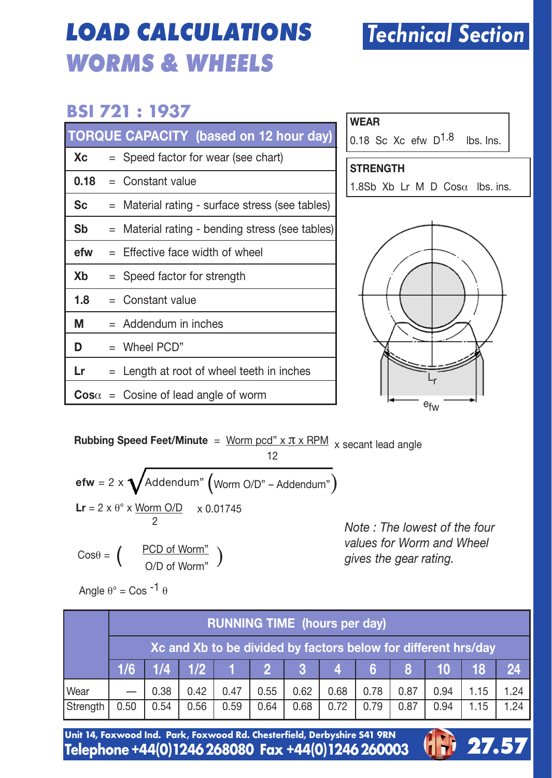## **LOAD CALCULATIONS WORMS & WHEELS**

#### **BSI 721 : 1937**

|      | TORQUE CAPACITY (based on 12 hour day)          |
|------|-------------------------------------------------|
| Xc   | $=$ Speed factor for wear (see chart)           |
| 0.18 | $=$ Constant value                              |
| Sc   | = Material rating - surface stress (see tables) |
| Sb   | = Material rating - bending stress (see tables) |
| efw  | $=$ Effective face width of wheel               |
| Xb   | = Speed factor for strength                     |
| 1.8  | $=$ Constant value                              |
| м    | $=$ Addendum in inches                          |
| D    | $=$ Wheel PCD"                                  |
| Lr   | = Length at root of wheel teeth in inches       |
|      | $\cos \alpha$ = Cosine of lead angle of worm    |

| 0.18 Sc Xc efw $D^{1.8}$<br>lbs. Ins.<br><b>STRENGTH</b><br>1.8Sb Xb Lr M D Cos $\alpha$ lbs. ins. |
|----------------------------------------------------------------------------------------------------|
|                                                                                                    |
|                                                                                                    |
|                                                                                                    |
|                                                                                                    |

efw Lr

**Rubbing Speed Feet/Minute** = Worm pcd" x π x RPM x secant lead angle 12

$$
\begin{aligned}\n\mathbf{efw} &= 2 \times \sqrt{\text{Addendum}^n \left(\text{Worm O/D}^n - \text{Addendum}^n\right) \\
\mathbf{Lr} &= 2 \times \theta^\circ \times \frac{\text{Worm O/D}}{2} \times 0.01745 \\
\text{Cos}\theta &= \left(\frac{\text{PCD of Worm}^n}{2}\right)\n\end{aligned}
$$

PCD of Worm" )

*Note : The lowest of the four values for Worm and Wheel gives the gear rating.*<br> **gives** the gear rating.

| Angle $\theta^{\circ}$ = Cos <sup>-1</sup> $\theta$ |  |
|-----------------------------------------------------|--|
|-----------------------------------------------------|--|

|             |      | <b>RUNNING TIME</b> (hours per day)                            |                     |      |      |      |                 |       |      |      |         |      |
|-------------|------|----------------------------------------------------------------|---------------------|------|------|------|-----------------|-------|------|------|---------|------|
|             |      | Xc and Xb to be divided by factors below for different hrs/day |                     |      |      |      |                 |       |      |      |         |      |
|             |      |                                                                | $1/6$ $1/4$ $1/2$ 1 |      |      |      | $3 \mid 4 \mid$ | $6-1$ | 78 J |      | $10$ 18 | 24   |
| <b>Wear</b> |      | 0.38                                                           | 0.42                | 0.47 | 0.55 | 0.62 | 0.68            | 0.78  | 0.87 | 0.94 | 1.15    | 1.24 |
| Strength    | 0.50 | 0.54                                                           | 0.56                | 0.59 | 0.64 | 0.68 | 0.72            | 0.79  | 0.87 | 0.94 | 1.15    | 1.24 |

Unit 14, Foxwood Ind. Park, Foxwood Rd. Chesterfield, Derbyshire 541 9RN<br>Telephone +44(0)1246 268080 Fax +44(0)1246 260003



## Technical Section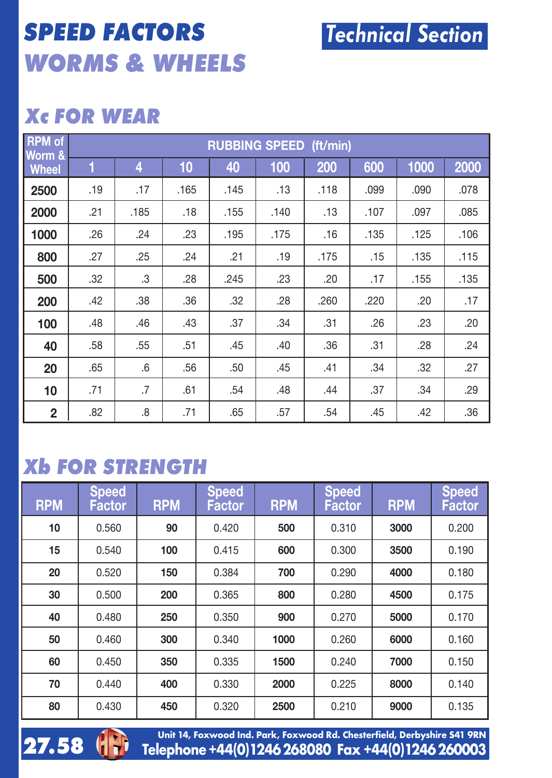## **SPEED FACTORS WORMS & WHEELS**

#### **Xc FOR WEAR**

| <b>RPM</b> of<br>Worm & | <b>RUBBING SPEED (ft/min)</b> |      |      |      |      |      |      |      |      |  |  |  |
|-------------------------|-------------------------------|------|------|------|------|------|------|------|------|--|--|--|
| <b>Wheel</b>            | 1                             | 4    | 10   | 40   | 100  | 200  | 600  | 1000 | 2000 |  |  |  |
| 2500                    | .19                           | .17  | .165 | .145 | .13  | .118 | .099 | .090 | .078 |  |  |  |
| 2000                    | .21                           | .185 | .18  | .155 | .140 | .13  | .107 | .097 | .085 |  |  |  |
| 1000                    | .26                           | .24  | .23  | .195 | .175 | .16  | .135 | .125 | .106 |  |  |  |
| 800                     | .27                           | .25  | .24  | .21  | .19  | .175 | .15  | .135 | .115 |  |  |  |
| 500                     | .32                           | .3   | .28  | .245 | .23  | .20  | .17  | .155 | .135 |  |  |  |
| 200                     | .42                           | .38  | .36  | .32  | .28  | .260 | .220 | .20  | .17  |  |  |  |
| 100                     | .48                           | .46  | .43  | .37  | .34  | .31  | .26  | .23  | .20  |  |  |  |
| 40                      | .58                           | .55  | .51  | .45  | .40  | .36  | .31  | .28  | .24  |  |  |  |
| 20                      | .65                           | .6   | .56  | .50  | .45  | .41  | .34  | .32  | .27  |  |  |  |
| 10                      | .71                           | .7   | .61  | .54  | .48  | .44  | .37  | .34  | .29  |  |  |  |
| $\overline{2}$          | .82                           | .8   | .71  | .65  | .57  | .54  | .45  | .42  | .36  |  |  |  |

#### **Xb FOR STRENGTH**

| <b>RPM</b> | <b>Speed</b><br>Factor | <b>RPM</b> | <b>Speed</b><br>Factor | <b>RPM</b> | Speed,<br>Factor | <b>RPM</b> | <b>Speed</b><br>Factor |
|------------|------------------------|------------|------------------------|------------|------------------|------------|------------------------|
| 10         | 0.560                  | 90         | 0.420                  | 500        | 0.310            | 3000       | 0.200                  |
| 15         | 0.540                  | 100        | 0.415                  | 600        | 0.300            | 3500       | 0.190                  |
| 20         | 0.520                  | 150        | 0.384                  | 700        | 0.290            | 4000       | 0.180                  |
| 30         | 0.500                  | 200        | 0.365                  | 800        | 0.280            | 4500       | 0.175                  |
| 40         | 0.480                  | 250        | 0.350                  | 900        | 0.270            | 5000       | 0.170                  |
| 50         | 0.460                  | 300        | 0.340                  | 1000       | 0.260            | 6000       | 0.160                  |
| 60         | 0.450                  | 350        | 0.335                  | 1500       | 0.240            | 7000       | 0.150                  |
| 70         | 0.440                  | 400        | 0.330                  | 2000       | 0.225            | 8000       | 0.140                  |
| 80         | 0.430                  | 450        | 0.320                  | 2500       | 0.210            | 9000       | 0.135                  |



**27.58** (**18.** Telephone +44(0)1246 268080 Fax +44(0)1246 260003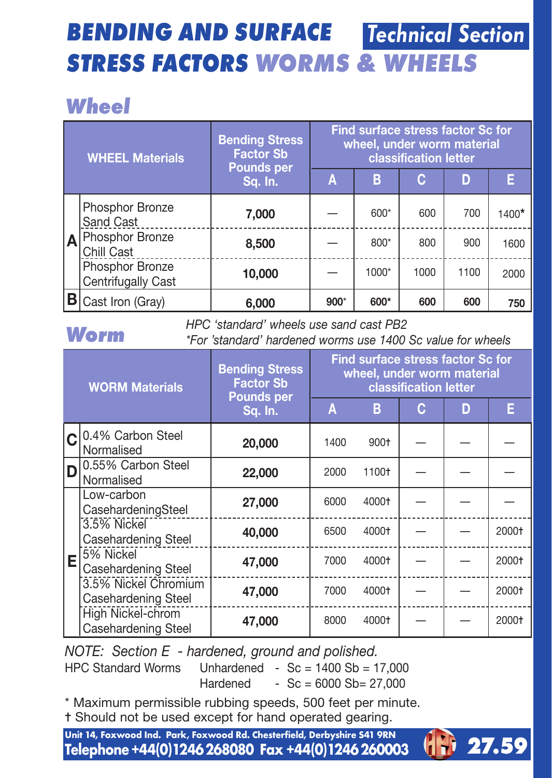#### **BENDING AND SURFACE STRESS FACTORS WORMS & WHEELS** Technical Section

## **Wheel**

| <b>WHEEL Materials</b> |                                       | <b>Bending Stress</b><br><b>Factor Sb</b><br><b>Pounds per</b> | Find surface stress factor Sc for<br>wheel, under worm material<br>classification letter |         |      |      |         |  |  |
|------------------------|---------------------------------------|----------------------------------------------------------------|------------------------------------------------------------------------------------------|---------|------|------|---------|--|--|
|                        |                                       | Sq. In.                                                        | A                                                                                        | в       | c    | D    | F       |  |  |
|                        | Phosphor Bronze<br>Sand Cast          | 7.000                                                          |                                                                                          | 600*    | 600  | 700  | $1400*$ |  |  |
| ١A                     | Phosphor Bronze<br>Chill Cast         | 8,500                                                          |                                                                                          | $800*$  | 800  | 900  | 1600    |  |  |
|                        | Phosphor Bronze<br>Centrifugally Cast | 10,000                                                         |                                                                                          | $1000*$ | 1000 | 1100 | 2000    |  |  |
|                        | Cast Iron (Gray)                      | 6.000                                                          | $900*$                                                                                   | 600*    | 600  | 600  | 750     |  |  |

#### **Worm**

*HPC 'standard' wheels use sand cast PB2*

*\*For 'standard' hardened worms use 1400 Sc value for wheels*

|   | <b>WORM Materials</b>                       | <b>Bending Stress</b><br><b>Factor Sb</b><br><b>Pounds per</b> | Find surface stress factor Sc for<br>wheel, under worm material<br>classification letter |        |   |   |       |  |  |
|---|---------------------------------------------|----------------------------------------------------------------|------------------------------------------------------------------------------------------|--------|---|---|-------|--|--|
|   |                                             | Sq. In.                                                        | Α                                                                                        | в      | c | n | Е     |  |  |
|   | 0.4% Carbon Steel<br>Normalised             | 20,000                                                         | 1400                                                                                     | $900+$ |   |   |       |  |  |
| D | 0.55% Carbon Steel<br>Normalised            | 22,000                                                         | 2000                                                                                     | 1100+  |   |   |       |  |  |
| Е | Low-carbon<br>CasehardeningSteel            | 27,000                                                         | 6000                                                                                     | 4000+  |   |   |       |  |  |
|   | 3.5% Nickel<br>Casehardening Steel          | 40,000                                                         | 6500                                                                                     | 4000+  |   |   | 2000+ |  |  |
|   | 5% Nickel<br>Casehardening Steel            | 47,000                                                         | 7000                                                                                     | 4000+  |   |   | 2000+ |  |  |
|   | 3.5% Nickel Chromium<br>Casehardening Steel | 47,000                                                         | 7000                                                                                     | 4000+  |   |   | 2000+ |  |  |
|   | High Nickel-chrom<br>Casehardening Steel    | 47.000                                                         | 8000                                                                                     | 4000+  |   |   | 2000+ |  |  |

*NOTE: Section E - hardened, ground and polished.*

HPC Standard Worms Unhardened -  $Sc = 1400 \text{ Sh} = 17,000$  $Hardened - SC = 6000 Sb = 27,000$ 

\* Maximum permissible rubbing speeds, 500 feet per minute.

✝ Should not be used except for hand operated gearing.